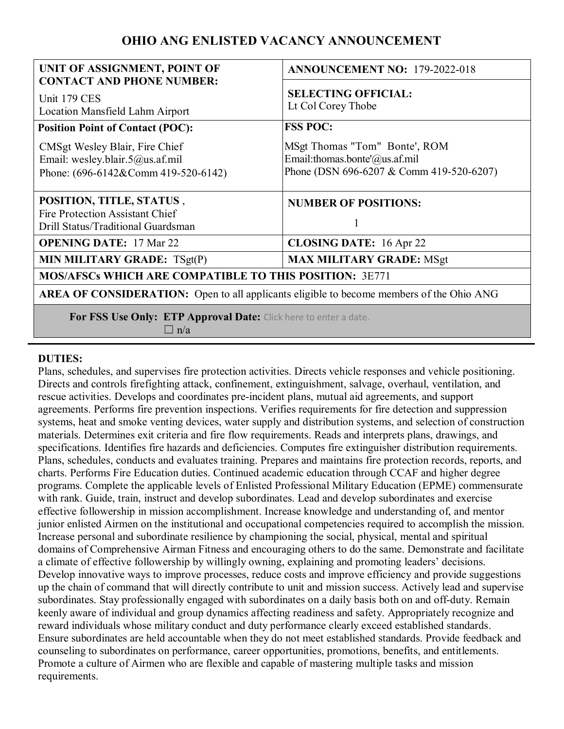# **OHIO ANG ENLISTED VACANCY ANNOUNCEMENT**

| UNIT OF ASSIGNMENT, POINT OF                                                                                         | <b>ANNOUNCEMENT NO: 179-2022-018</b>                                                                       |
|----------------------------------------------------------------------------------------------------------------------|------------------------------------------------------------------------------------------------------------|
| <b>CONTACT AND PHONE NUMBER:</b><br>Unit 179 CES<br>Location Mansfield Lahm Airport                                  | <b>SELECTING OFFICIAL:</b><br>Lt Col Corey Thobe                                                           |
| <b>Position Point of Contact (POC):</b>                                                                              | <b>FSS POC:</b>                                                                                            |
| CMSgt Wesley Blair, Fire Chief<br>Email: wesley.blair.5@us.af.mil<br>Phone: $(696-6142 & \text{Comm } 419-520-6142)$ | MSgt Thomas "Tom" Bonte', ROM<br>Email:thomas.bonte'@us.af.mil<br>Phone (DSN 696-6207 & Comm 419-520-6207) |
| POSITION, TITLE, STATUS,<br>Fire Protection Assistant Chief<br>Drill Status/Traditional Guardsman                    | <b>NUMBER OF POSITIONS:</b><br>1                                                                           |
| <b>OPENING DATE: 17 Mar 22</b>                                                                                       | <b>CLOSING DATE:</b> 16 Apr 22                                                                             |
| MIN MILITARY GRADE: TSgt(P)                                                                                          | <b>MAX MILITARY GRADE: MSgt</b>                                                                            |
| <b>MOS/AFSCs WHICH ARE COMPATIBLE TO THIS POSITION: 3E771</b>                                                        |                                                                                                            |
| <b>AREA OF CONSIDERATION:</b> Open to all applicants eligible to become members of the Ohio ANG                      |                                                                                                            |
| For FSS Use Only: ETP Approval Date: Click here to enter a date.<br>$\Box$ n/a                                       |                                                                                                            |

#### **DUTIES:**

Plans, schedules, and supervises fire protection activities. Directs vehicle responses and vehicle positioning. Directs and controls firefighting attack, confinement, extinguishment, salvage, overhaul, ventilation, and rescue activities. Develops and coordinates pre-incident plans, mutual aid agreements, and support agreements. Performs fire prevention inspections. Verifies requirements for fire detection and suppression systems, heat and smoke venting devices, water supply and distribution systems, and selection of construction materials. Determines exit criteria and fire flow requirements. Reads and interprets plans, drawings, and specifications. Identifies fire hazards and deficiencies. Computes fire extinguisher distribution requirements. Plans, schedules, conducts and evaluates training. Prepares and maintains fire protection records, reports, and charts. Performs Fire Education duties. Continued academic education through CCAF and higher degree programs. Complete the applicable levels of Enlisted Professional Military Education (EPME) commensurate with rank. Guide, train, instruct and develop subordinates. Lead and develop subordinates and exercise effective followership in mission accomplishment. Increase knowledge and understanding of, and mentor junior enlisted Airmen on the institutional and occupational competencies required to accomplish the mission. Increase personal and subordinate resilience by championing the social, physical, mental and spiritual domains of Comprehensive Airman Fitness and encouraging others to do the same. Demonstrate and facilitate a climate of effective followership by willingly owning, explaining and promoting leaders' decisions. Develop innovative ways to improve processes, reduce costs and improve efficiency and provide suggestions up the chain of command that will directly contribute to unit and mission success. Actively lead and supervise subordinates. Stay professionally engaged with subordinates on a daily basis both on and off-duty. Remain keenly aware of individual and group dynamics affecting readiness and safety. Appropriately recognize and reward individuals whose military conduct and duty performance clearly exceed established standards. Ensure subordinates are held accountable when they do not meet established standards. Provide feedback and counseling to subordinates on performance, career opportunities, promotions, benefits, and entitlements. Promote a culture of Airmen who are flexible and capable of mastering multiple tasks and mission requirements.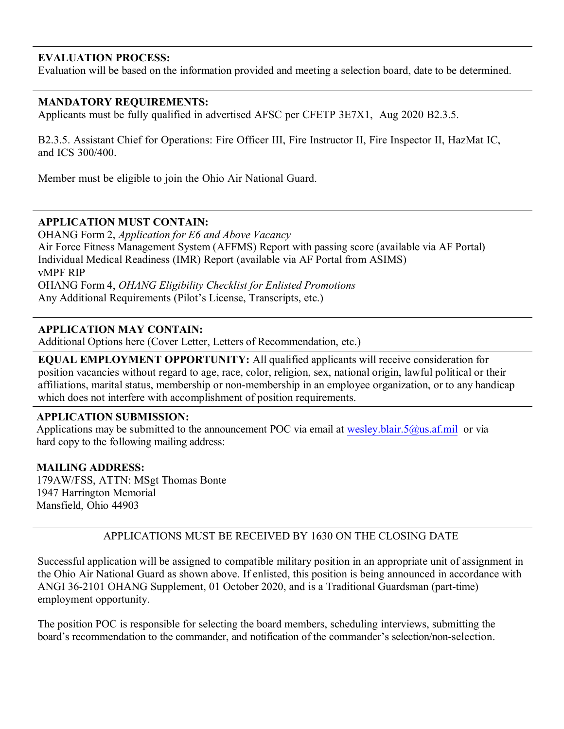## **EVALUATION PROCESS:**

Evaluation will be based on the information provided and meeting a selection board, date to be determined.

## **MANDATORY REQUIREMENTS:**

Applicants must be fully qualified in advertised AFSC per CFETP 3E7X1, Aug 2020 B2.3.5.

B2.3.5. Assistant Chief for Operations: Fire Officer III, Fire Instructor II, Fire Inspector II, HazMat IC, and ICS 300/400.

Member must be eligible to join the Ohio Air National Guard.

#### **APPLICATION MUST CONTAIN:**

OHANG Form 2, *Application for E6 and Above Vacancy*  Air Force Fitness Management System (AFFMS) Report with passing score (available via AF Portal) Individual Medical Readiness (IMR) Report (available via AF Portal from ASIMS) vMPF RIP OHANG Form 4, *OHANG Eligibility Checklist for Enlisted Promotions*  Any Additional Requirements (Pilot's License, Transcripts, etc.)

## **APPLICATION MAY CONTAIN:**

Additional Options here (Cover Letter, Letters of Recommendation, etc.)

**EQUAL EMPLOYMENT OPPORTUNITY:** All qualified applicants will receive consideration for position vacancies without regard to age, race, color, religion, sex, national origin, lawful political or their affiliations, marital status, membership or non-membership in an employee organization, or to any handicap which does not interfere with accomplishment of position requirements.

#### **APPLICATION SUBMISSION:**

Applications may be submitted to the announcement POC via email at [wesley.blair.5@us.af.mil](mailto:efrem.swoope.mil@mail.mil) or via hard copy to the following mailing address:

#### **MAILING ADDRESS:**

179AW/FSS, ATTN: MSgt Thomas Bonte 1947 Harrington Memorial Mansfield, Ohio 44903

## APPLICATIONS MUST BE RECEIVED BY 1630 ON THE CLOSING DATE

Successful application will be assigned to compatible military position in an appropriate unit of assignment in the Ohio Air National Guard as shown above. If enlisted, this position is being announced in accordance with ANGI 36-2101 OHANG Supplement, 01 October 2020, and is a Traditional Guardsman (part-time) employment opportunity.

The position POC is responsible for selecting the board members, scheduling interviews, submitting the board's recommendation to the commander, and notification of the commander's selection/non-selection.